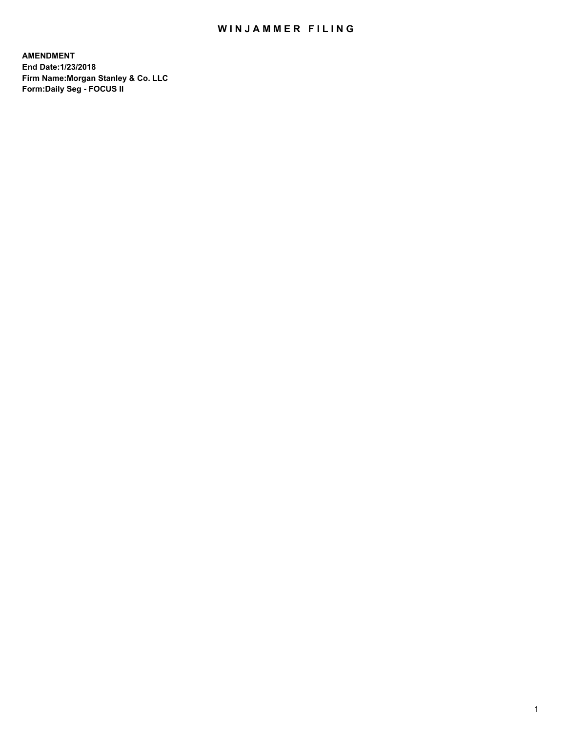# WIN JAMMER FILING

**AMENDMENT End Date:1/23/2018 Firm Name:Morgan Stanley & Co. LLC Form:Daily Seg - FOCUS II**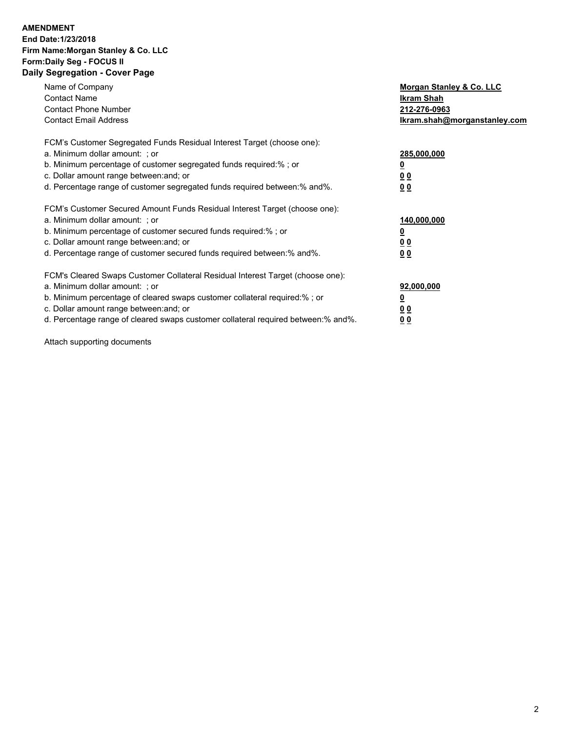### **AMENDMENT End Date:1/23/2018 Firm Name:Morgan Stanley & Co. LLC Form:Daily Seg - FOCUS II Daily Segregation - Cover Page**

| Name of Company                                                                   | Morgan Stanley & Co. LLC     |
|-----------------------------------------------------------------------------------|------------------------------|
| <b>Contact Name</b>                                                               | Ikram Shah                   |
| <b>Contact Phone Number</b>                                                       | 212-276-0963                 |
| <b>Contact Email Address</b>                                                      | Ikram.shah@morganstanley.com |
| FCM's Customer Segregated Funds Residual Interest Target (choose one):            |                              |
| a. Minimum dollar amount: ; or                                                    | 285,000,000                  |
| b. Minimum percentage of customer segregated funds required:%; or                 |                              |
| c. Dollar amount range between: and; or                                           | 00                           |
| d. Percentage range of customer segregated funds required between:% and%.         | 0 <sub>0</sub>               |
| FCM's Customer Secured Amount Funds Residual Interest Target (choose one):        |                              |
| a. Minimum dollar amount: ; or                                                    | 140,000,000                  |
| b. Minimum percentage of customer secured funds required:%; or                    | 0                            |
| c. Dollar amount range between: and; or                                           | <u>00</u>                    |
| d. Percentage range of customer secured funds required between:% and%.            | <u>00</u>                    |
|                                                                                   |                              |
| FCM's Cleared Swaps Customer Collateral Residual Interest Target (choose one):    |                              |
| a. Minimum dollar amount: ; or                                                    | 92,000,000                   |
| b. Minimum percentage of cleared swaps customer collateral required:% ; or        |                              |
| c. Dollar amount range between: and; or                                           | <u>0 0</u>                   |
| d. Percentage range of cleared swaps customer collateral required between:% and%. | <u>00</u>                    |

Attach supporting documents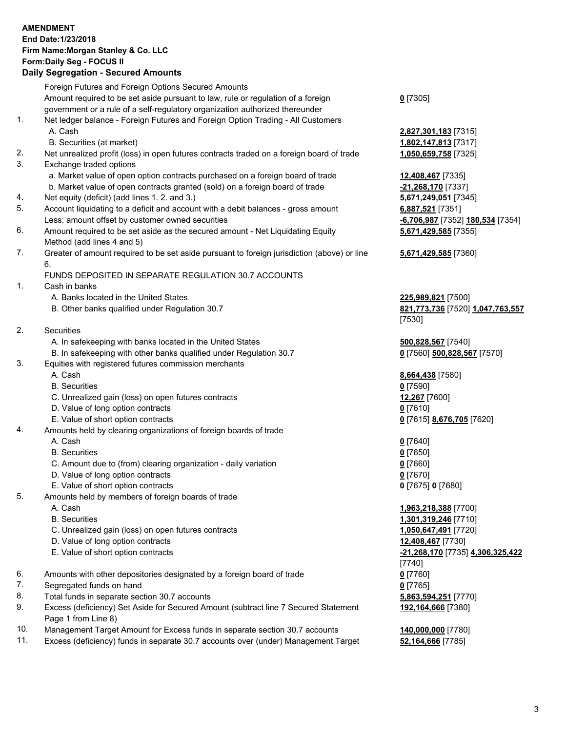# **AMENDMENT End Date:1/23/2018 Firm Name:Morgan Stanley & Co. LLC Form:Daily Seg - FOCUS II**

#### **Daily Segregation - Secured Amounts**

Foreign Futures and Foreign Options Secured Amounts Amount required to be set aside pursuant to law, rule or regulation of a foreign government or a rule of a self-regulatory organization authorized thereunder **0** [7305] 1. Net ledger balance - Foreign Futures and Foreign Option Trading - All Customers A. Cash **2,827,301,183** [7315] B. Securities (at market) **1,802,147,813** [7317] 2. Net unrealized profit (loss) in open futures contracts traded on a foreign board of trade **1,050,659,758** [7325] 3. Exchange traded options a. Market value of open option contracts purchased on a foreign board of trade **12,408,467** [7335] b. Market value of open contracts granted (sold) on a foreign board of trade **-21,268,170** [7337] 4. Net equity (deficit) (add lines 1. 2. and 3.) **5,671,249,051** [7345] 5. Account liquidating to a deficit and account with a debit balances - gross amount **6,887,521** [7351] Less: amount offset by customer owned securities **-6,706,987** [7352] **180,534** [7354] 6. Amount required to be set aside as the secured amount - Net Liquidating Equity Method (add lines 4 and 5) **5,671,429,585** [7355] 7. Greater of amount required to be set aside pursuant to foreign jurisdiction (above) or line 6. **5,671,429,585** [7360] FUNDS DEPOSITED IN SEPARATE REGULATION 30.7 ACCOUNTS 1. Cash in banks A. Banks located in the United States **225,989,821** [7500] B. Other banks qualified under Regulation 30.7 **821,773,736** [7520] **1,047,763,557** [7530] 2. Securities A. In safekeeping with banks located in the United States **500,828,567** [7540] B. In safekeeping with other banks qualified under Regulation 30.7 **0** [7560] **500,828,567** [7570] 3. Equities with registered futures commission merchants A. Cash **8,664,438** [7580] B. Securities **0** [7590] C. Unrealized gain (loss) on open futures contracts **12,267** [7600] D. Value of long option contracts **0** [7610] E. Value of short option contracts **0** [7615] **8,676,705** [7620] 4. Amounts held by clearing organizations of foreign boards of trade A. Cash **0** [7640] B. Securities **0** [7650] C. Amount due to (from) clearing organization - daily variation **0** [7660] D. Value of long option contracts **0** [7670] E. Value of short option contracts **0** [7675] **0** [7680] 5. Amounts held by members of foreign boards of trade A. Cash **1,963,218,388** [7700] B. Securities **1,301,319,246** [7710] C. Unrealized gain (loss) on open futures contracts **1,050,647,491** [7720] D. Value of long option contracts **12,408,467** [7730] E. Value of short option contracts **-21,268,170** [7735] **4,306,325,422** [7740] 6. Amounts with other depositories designated by a foreign board of trade **0** [7760] 7. Segregated funds on hand **0** [7765] 8. Total funds in separate section 30.7 accounts **5,863,594,251** [7770] 9. Excess (deficiency) Set Aside for Secured Amount (subtract line 7 Secured Statement Page 1 from Line 8) **192,164,666** [7380]

- 10. Management Target Amount for Excess funds in separate section 30.7 accounts **140,000,000** [7780]
- 11. Excess (deficiency) funds in separate 30.7 accounts over (under) Management Target **52,164,666** [7785]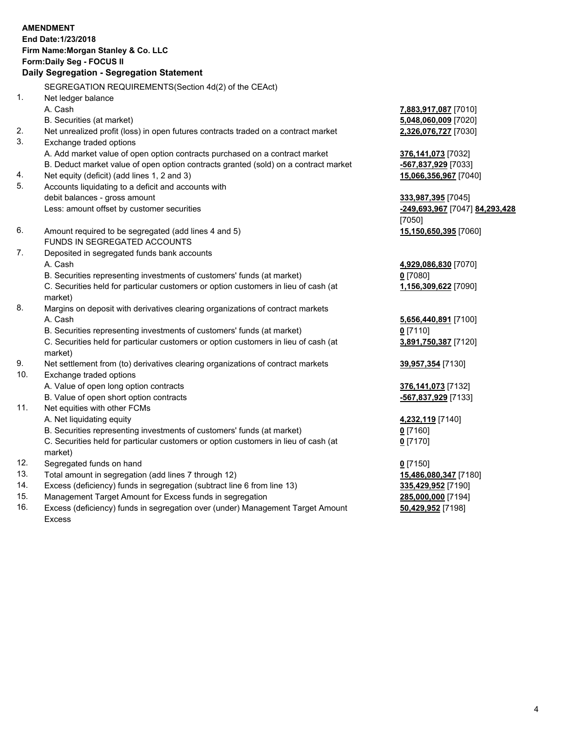# **AMENDMENT End Date:1/23/2018 Firm Name:Morgan Stanley & Co. LLC Form:Daily Seg - FOCUS II**

## **Daily Segregation - Segregation Statement**

SEGREGATION REQUIREMENTS(Section 4d(2) of the CEAct) 1. Net ledger balance A. Cash **7,883,917,087** [7010] B. Securities (at market) **5,048,060,009** [7020]

- 2. Net unrealized profit (loss) in open futures contracts traded on a contract market **2,326,076,727** [7030]
- 3. Exchange traded options

A. Add market value of open option contracts purchased on a contract market **376,141,073** [7032]

- B. Deduct market value of open option contracts granted (sold) on a contract market **-567,837,929** [7033]
- 4. Net equity (deficit) (add lines 1, 2 and 3) **15,066,356,967** [7040]
- 5. Accounts liquidating to a deficit and accounts with debit balances - gross amount **333,987,395** [7045] Less: amount offset by customer securities **-249,693,967** [7047] **84,293,428**
- 6. Amount required to be segregated (add lines 4 and 5) **15,150,650,395** [7060] FUNDS IN SEGREGATED ACCOUNTS
- 7. Deposited in segregated funds bank accounts A. Cash **4,929,086,830** [7070]
	- B. Securities representing investments of customers' funds (at market) **0** [7080]

C. Securities held for particular customers or option customers in lieu of cash (at market)

- 8. Margins on deposit with derivatives clearing organizations of contract markets A. Cash **5,656,440,891** [7100]
	- B. Securities representing investments of customers' funds (at market) **0** [7110]

C. Securities held for particular customers or option customers in lieu of cash (at market)

- 9. Net settlement from (to) derivatives clearing organizations of contract markets **39,957,354** [7130]
- 10. Exchange traded options
	- A. Value of open long option contracts **376,141,073** [7132]
	- B. Value of open short option contracts **-567,837,929** [7133]
- 11. Net equities with other FCMs
	- A. Net liquidating equity **4,232,119** [7140]
	- B. Securities representing investments of customers' funds (at market) **0** [7160]

C. Securities held for particular customers or option customers in lieu of cash (at market)

- 12. Segregated funds on hand **0** [7150]
- 13. Total amount in segregation (add lines 7 through 12) **15,486,080,347** [7180]
- 14. Excess (deficiency) funds in segregation (subtract line 6 from line 13) **335,429,952** [7190]
- 15. Management Target Amount for Excess funds in segregation **285,000,000** [7194]
- 16. Excess (deficiency) funds in segregation over (under) Management Target Amount Excess

[7050]

**1,156,309,622** [7090]

**3,891,750,387** [7120]

**0** [7170]

**50,429,952** [7198]